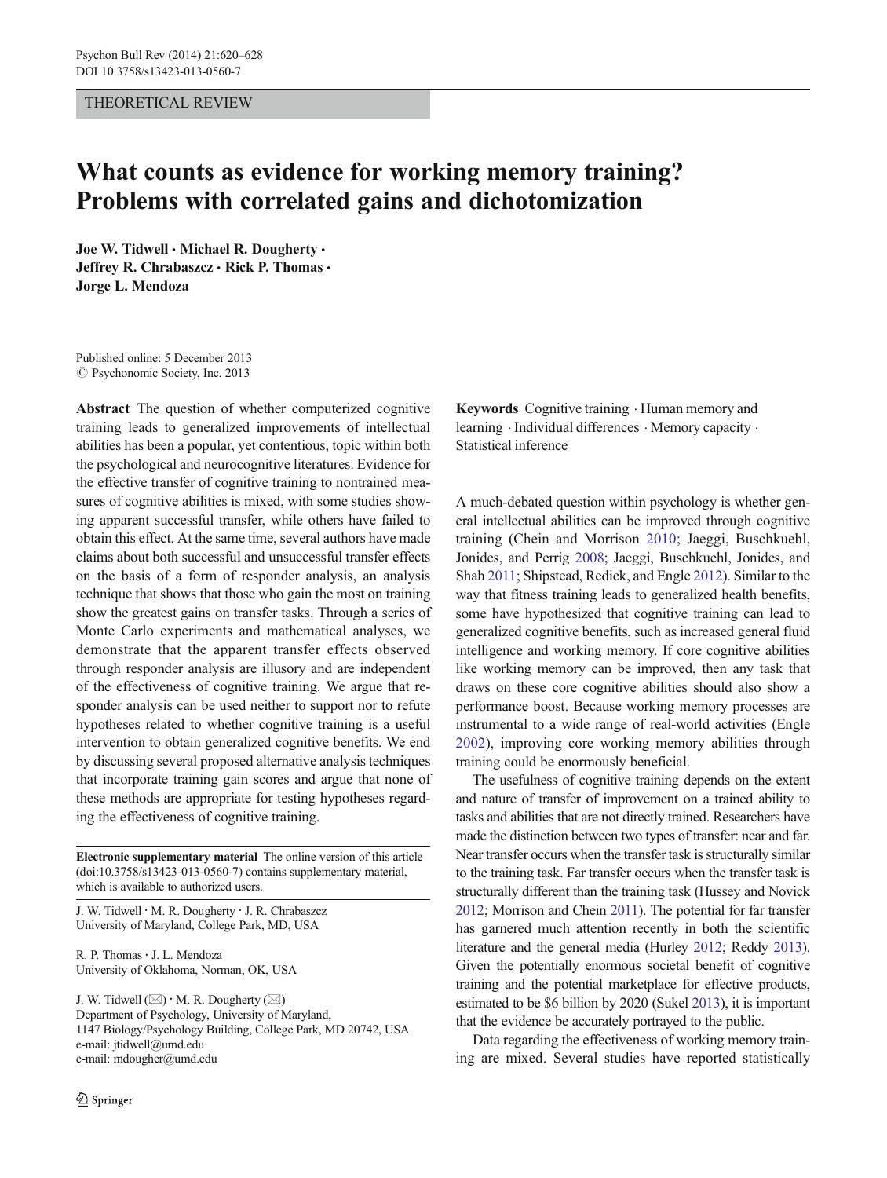# THEORETICAL REVIEW

# What counts as evidence for working memory training? Problems with correlated gains and dichotomization

Joe W. Tidwell • Michael R. Dougherty • Jeffrey R. Chrabaszcz · Rick P. Thomas · Jorge L. Mendoza

Published online: 5 December 2013  $\circledcirc$  Psychonomic Society, Inc. 2013

Abstract The question of whether computerized cognitive training leads to generalized improvements of intellectual abilities has been a popular, yet contentious, topic within both the psychological and neurocognitive literatures. Evidence for the effective transfer of cognitive training to nontrained measures of cognitive abilities is mixed, with some studies showing apparent successful transfer, while others have failed to obtain this effect. At the same time, several authors have made claims about both successful and unsuccessful transfer effects on the basis of a form of responder analysis, an analysis technique that shows that those who gain the most on training show the greatest gains on transfer tasks. Through a series of Monte Carlo experiments and mathematical analyses, we demonstrate that the apparent transfer effects observed through responder analysis are illusory and are independent of the effectiveness of cognitive training. We argue that responder analysis can be used neither to support nor to refute hypotheses related to whether cognitive training is a useful intervention to obtain generalized cognitive benefits. We end by discussing several proposed alternative analysis techniques that incorporate training gain scores and argue that none of these methods are appropriate for testing hypotheses regarding the effectiveness of cognitive training.

Electronic supplementary material The online version of this article (doi[:10.3758/s13423-013-0560-7](http://dx.doi.org/10.3758/s13423-013-0560-7)) contains supplementary material, which is available to authorized users.

J. W. Tidwell : M. R. Dougherty : J. R. Chrabaszcz University of Maryland, College Park, MD, USA

R. P. Thomas: J. L. Mendoza University of Oklahoma, Norman, OK, USA

J. W. Tidwell  $(\boxtimes) \cdot M$ . R. Dougherty  $(\boxtimes)$ Department of Psychology, University of Maryland, 1147 Biology/Psychology Building, College Park, MD 20742, USA e-mail: jtidwell@umd.edu e-mail: mdougher@umd.edu

Keywords Cognitive training . Human memory and learning . Individual differences . Memory capacity . Statistical inference

A much-debated question within psychology is whether general intellectual abilities can be improved through cognitive training (Chein and Morrison [2010](#page-7-0); Jaeggi, Buschkuehl, Jonides, and Perrig [2008;](#page-7-0) Jaeggi, Buschkuehl, Jonides, and Shah [2011;](#page-7-0) Shipstead, Redick, and Engle [2012](#page-8-0)). Similar to the way that fitness training leads to generalized health benefits, some have hypothesized that cognitive training can lead to generalized cognitive benefits, such as increased general fluid intelligence and working memory. If core cognitive abilities like working memory can be improved, then any task that draws on these core cognitive abilities should also show a performance boost. Because working memory processes are instrumental to a wide range of real-world activities (Engle [2002](#page-7-0)), improving core working memory abilities through training could be enormously beneficial.

The usefulness of cognitive training depends on the extent and nature of transfer of improvement on a trained ability to tasks and abilities that are not directly trained. Researchers have made the distinction between two types of transfer: near and far. Near transfer occurs when the transfer task is structurally similar to the training task. Far transfer occurs when the transfer task is structurally different than the training task (Hussey and Novick [2012](#page-7-0); Morrison and Chein [2011\)](#page-8-0). The potential for far transfer has garnered much attention recently in both the scientific literature and the general media (Hurley [2012;](#page-7-0) Reddy [2013\)](#page-8-0). Given the potentially enormous societal benefit of cognitive training and the potential marketplace for effective products, estimated to be \$6 billion by 2020 (Sukel [2013\)](#page-8-0), it is important that the evidence be accurately portrayed to the public.

Data regarding the effectiveness of working memory training are mixed. Several studies have reported statistically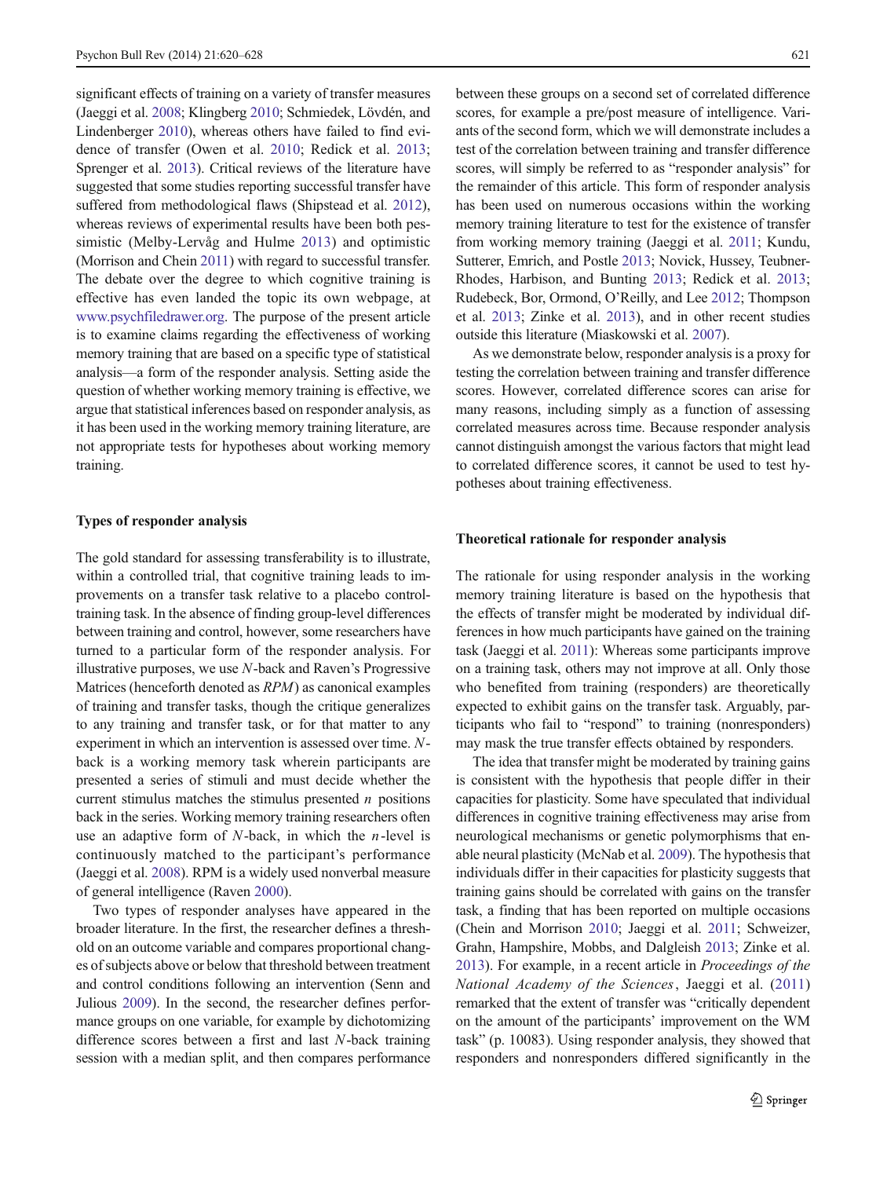significant effects of training on a variety of transfer measures (Jaeggi et al. [2008;](#page-7-0) Klingberg [2010;](#page-8-0) Schmiedek, Lövdén, and Lindenberger [2010](#page-8-0)), whereas others have failed to find evidence of transfer (Owen et al. [2010;](#page-8-0) Redick et al. [2013](#page-8-0); Sprenger et al. [2013\)](#page-8-0). Critical reviews of the literature have suggested that some studies reporting successful transfer have suffered from methodological flaws (Shipstead et al. [2012\)](#page-8-0), whereas reviews of experimental results have been both pessimistic (Melby-Lervåg and Hulme [2013\)](#page-8-0) and optimistic (Morrison and Chein [2011\)](#page-8-0) with regard to successful transfer. The debate over the degree to which cognitive training is effective has even landed the topic its own webpage, at [www.psychfiledrawer.org.](http://www.psychfiledrawer.org/) The purpose of the present article is to examine claims regarding the effectiveness of working memory training that are based on a specific type of statistical analysis—a form of the responder analysis. Setting aside the question of whether working memory training is effective, we argue that statistical inferences based on responder analysis, as it has been used in the working memory training literature, are not appropriate tests for hypotheses about working memory training.

#### Types of responder analysis

The gold standard for assessing transferability is to illustrate, within a controlled trial, that cognitive training leads to improvements on a transfer task relative to a placebo controltraining task. In the absence of finding group-level differences between training and control, however, some researchers have turned to a particular form of the responder analysis. For illustrative purposes, we use  $N$ -back and Raven's Progressive Matrices (henceforth denoted as RPM) as canonical examples of training and transfer tasks, though the critique generalizes to any training and transfer task, or for that matter to any experiment in which an intervention is assessed over time. Nback is a working memory task wherein participants are presented a series of stimuli and must decide whether the current stimulus matches the stimulus presented  $n$  positions back in the series. Working memory training researchers often use an adaptive form of  $N$ -back, in which the  $n$ -level is continuously matched to the participant's performance (Jaeggi et al. [2008](#page-7-0)). RPM is a widely used nonverbal measure of general intelligence (Raven [2000](#page-8-0)).

Two types of responder analyses have appeared in the broader literature. In the first, the researcher defines a threshold on an outcome variable and compares proportional changes of subjects above or below that threshold between treatment and control conditions following an intervention (Senn and Julious [2009\)](#page-8-0). In the second, the researcher defines performance groups on one variable, for example by dichotomizing difference scores between a first and last N-back training session with a median split, and then compares performance between these groups on a second set of correlated difference scores, for example a pre/post measure of intelligence. Variants of the second form, which we will demonstrate includes a test of the correlation between training and transfer difference scores, will simply be referred to as "responder analysis" for the remainder of this article. This form of responder analysis has been used on numerous occasions within the working memory training literature to test for the existence of transfer from working memory training (Jaeggi et al. [2011;](#page-7-0) Kundu, Sutterer, Emrich, and Postle [2013](#page-8-0); Novick, Hussey, Teubner-Rhodes, Harbison, and Bunting [2013](#page-8-0); Redick et al. [2013;](#page-8-0) Rudebeck, Bor, Ormond, O'Reilly, and Lee [2012](#page-8-0); Thompson et al. [2013;](#page-8-0) Zinke et al. [2013\)](#page-8-0), and in other recent studies outside this literature (Miaskowski et al. [2007\)](#page-8-0).

As we demonstrate below, responder analysis is a proxy for testing the correlation between training and transfer difference scores. However, correlated difference scores can arise for many reasons, including simply as a function of assessing correlated measures across time. Because responder analysis cannot distinguish amongst the various factors that might lead to correlated difference scores, it cannot be used to test hypotheses about training effectiveness.

#### Theoretical rationale for responder analysis

The rationale for using responder analysis in the working memory training literature is based on the hypothesis that the effects of transfer might be moderated by individual differences in how much participants have gained on the training task (Jaeggi et al. [2011\)](#page-7-0): Whereas some participants improve on a training task, others may not improve at all. Only those who benefited from training (responders) are theoretically expected to exhibit gains on the transfer task. Arguably, participants who fail to "respond" to training (nonresponders) may mask the true transfer effects obtained by responders.

The idea that transfer might be moderated by training gains is consistent with the hypothesis that people differ in their capacities for plasticity. Some have speculated that individual differences in cognitive training effectiveness may arise from neurological mechanisms or genetic polymorphisms that enable neural plasticity (McNab et al. [2009\)](#page-8-0). The hypothesis that individuals differ in their capacities for plasticity suggests that training gains should be correlated with gains on the transfer task, a finding that has been reported on multiple occasions (Chein and Morrison [2010](#page-7-0); Jaeggi et al. [2011;](#page-7-0) Schweizer, Grahn, Hampshire, Mobbs, and Dalgleish [2013](#page-8-0); Zinke et al. [2013\)](#page-8-0). For example, in a recent article in Proceedings of the National Academy of the Sciences, Jaeggi et al. ([2011](#page-7-0)) remarked that the extent of transfer was "critically dependent on the amount of the participants' improvement on the WM task" (p. 10083). Using responder analysis, they showed that responders and nonresponders differed significantly in the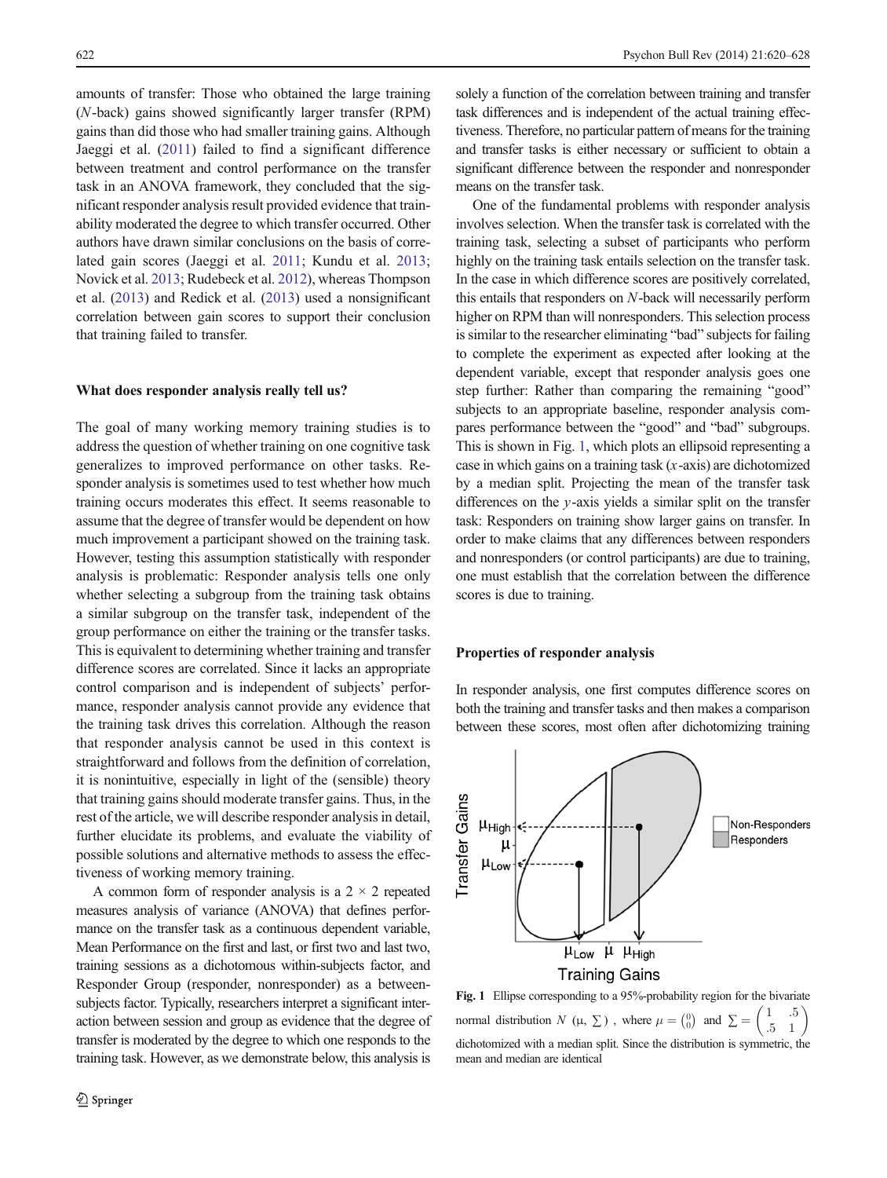<span id="page-2-0"></span>amounts of transfer: Those who obtained the large training (N-back) gains showed significantly larger transfer (RPM) gains than did those who had smaller training gains. Although Jaeggi et al. ([2011\)](#page-7-0) failed to find a significant difference between treatment and control performance on the transfer task in an ANOVA framework, they concluded that the significant responder analysis result provided evidence that trainability moderated the degree to which transfer occurred. Other authors have drawn similar conclusions on the basis of correlated gain scores (Jaeggi et al. [2011;](#page-7-0) Kundu et al. [2013](#page-8-0); Novick et al. [2013](#page-8-0); Rudebeck et al. [2012](#page-8-0)), whereas Thompson et al. [\(2013\)](#page-8-0) and Redick et al. ([2013](#page-8-0)) used a nonsignificant correlation between gain scores to support their conclusion that training failed to transfer.

### What does responder analysis really tell us?

The goal of many working memory training studies is to address the question of whether training on one cognitive task generalizes to improved performance on other tasks. Responder analysis is sometimes used to test whether how much training occurs moderates this effect. It seems reasonable to assume that the degree of transfer would be dependent on how much improvement a participant showed on the training task. However, testing this assumption statistically with responder analysis is problematic: Responder analysis tells one only whether selecting a subgroup from the training task obtains a similar subgroup on the transfer task, independent of the group performance on either the training or the transfer tasks. This is equivalent to determining whether training and transfer difference scores are correlated. Since it lacks an appropriate control comparison and is independent of subjects' performance, responder analysis cannot provide any evidence that the training task drives this correlation. Although the reason that responder analysis cannot be used in this context is straightforward and follows from the definition of correlation, it is nonintuitive, especially in light of the (sensible) theory that training gains should moderate transfer gains. Thus, in the rest of the article, we will describe responder analysis in detail, further elucidate its problems, and evaluate the viability of possible solutions and alternative methods to assess the effectiveness of working memory training.

A common form of responder analysis is a  $2 \times 2$  repeated measures analysis of variance (ANOVA) that defines performance on the transfer task as a continuous dependent variable, Mean Performance on the first and last, or first two and last two, training sessions as a dichotomous within-subjects factor, and Responder Group (responder, nonresponder) as a betweensubjects factor. Typically, researchers interpret a significant interaction between session and group as evidence that the degree of transfer is moderated by the degree to which one responds to the training task. However, as we demonstrate below, this analysis is

solely a function of the correlation between training and transfer task differences and is independent of the actual training effectiveness. Therefore, no particular pattern of means for the training and transfer tasks is either necessary or sufficient to obtain a significant difference between the responder and nonresponder means on the transfer task.

One of the fundamental problems with responder analysis involves selection. When the transfer task is correlated with the training task, selecting a subset of participants who perform highly on the training task entails selection on the transfer task. In the case in which difference scores are positively correlated, this entails that responders on N-back will necessarily perform higher on RPM than will nonresponders. This selection process is similar to the researcher eliminating "bad" subjects for failing to complete the experiment as expected after looking at the dependent variable, except that responder analysis goes one step further: Rather than comparing the remaining "good" subjects to an appropriate baseline, responder analysis compares performance between the "good" and "bad" subgroups. This is shown in Fig. 1, which plots an ellipsoid representing a case in which gains on a training task (x-axis) are dichotomized by a median split. Projecting the mean of the transfer task differences on the  $y$ -axis yields a similar split on the transfer task: Responders on training show larger gains on transfer. In order to make claims that any differences between responders and nonresponders (or control participants) are due to training, one must establish that the correlation between the difference scores is due to training.

#### Properties of responder analysis

In responder analysis, one first computes difference scores on both the training and transfer tasks and then makes a comparison between these scores, most often after dichotomizing training



Fig. 1 Ellipse corresponding to a 95%-probability region for the bivariate normal distribution N (μ,  $\Sigma$ ), where  $\mu = \begin{pmatrix} 0 \\ 0 \end{pmatrix}$  and  $\Sigma = \begin{pmatrix} 1 & .5 \\ .5 & 1 \end{pmatrix}$ dichotomized with a median split. Since the distribution is symmetric, the mean and median are identical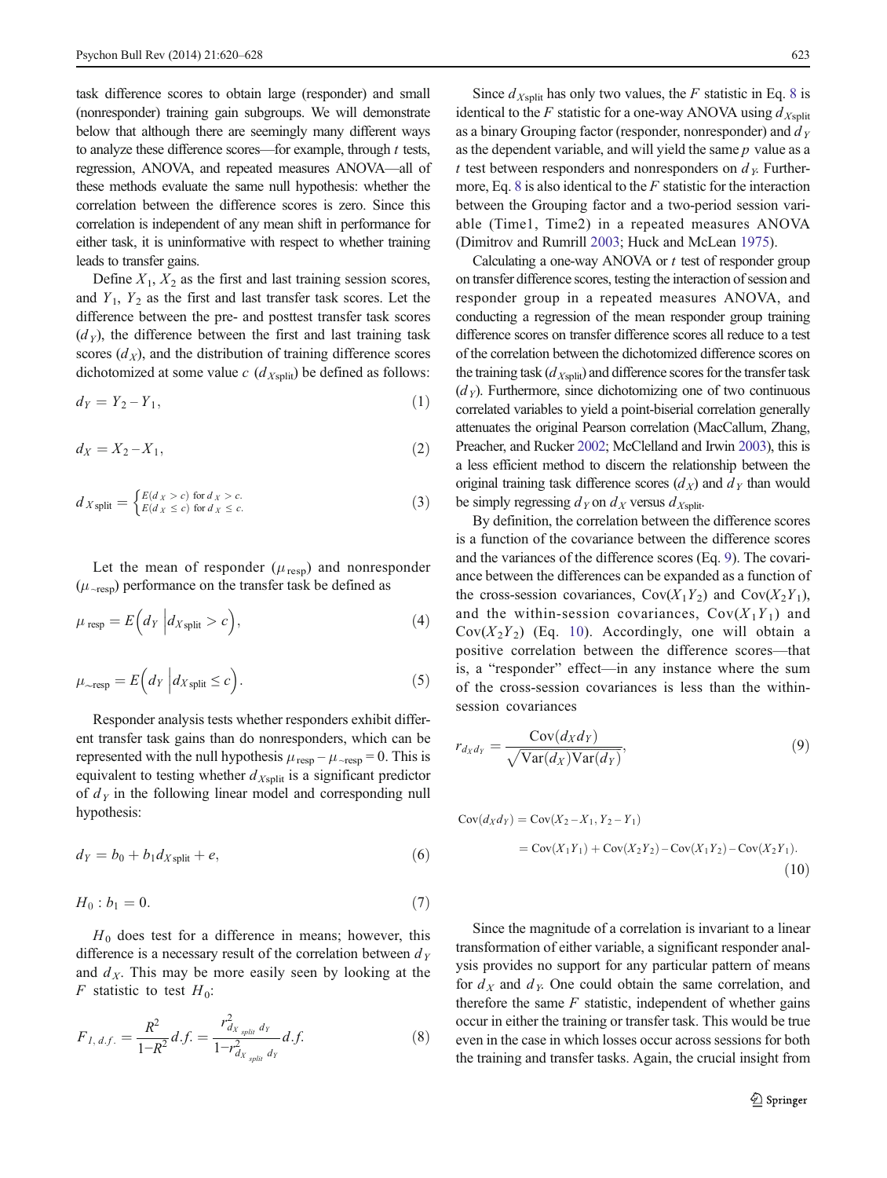<span id="page-3-0"></span>task difference scores to obtain large (responder) and small (nonresponder) training gain subgroups. We will demonstrate below that although there are seemingly many different ways to analyze these difference scores—for example, through t tests, regression, ANOVA, and repeated measures ANOVA—all of these methods evaluate the same null hypothesis: whether the correlation between the difference scores is zero. Since this correlation is independent of any mean shift in performance for either task, it is uninformative with respect to whether training leads to transfer gains.

Define  $X_1, X_2$  as the first and last training session scores, and  $Y_1$ ,  $Y_2$  as the first and last transfer task scores. Let the difference between the pre- and posttest transfer task scores  $(d_y)$ , the difference between the first and last training task scores  $(d_X)$ , and the distribution of training difference scores dichotomized at some value  $c$  ( $d_{Xsplit}$ ) be defined as follows:

$$
d_Y = Y_2 - Y_1,\tag{1}
$$

$$
d_X = X_2 - X_1,\tag{2}
$$

$$
d_{X \text{split}} = \begin{cases} E(d_X > c) & \text{for } d_X > c. \\ E(d_X \le c) & \text{for } d_X \le c. \end{cases} \tag{3}
$$

Let the mean of responder  $(\mu_{\text{resp}})$  and nonresponder  $(\mu_{\text{~resp}})$  performance on the transfer task be defined as

$$
\mu_{\text{resp}} = E\Big(d_Y \Big| d_{X\text{ split}} > c\Big),\tag{4}
$$

$$
\mu_{\sim \text{resp}} = E\Big(d_Y \Big| d_{X \text{ split}} \le c\Big). \tag{5}
$$

Responder analysis tests whether responders exhibit different transfer task gains than do nonresponders, which can be represented with the null hypothesis  $\mu_{\text{resp}} - \mu_{\text{resp}} = 0$ . This is equivalent to testing whether  $d_{Xsplit}$  is a significant predictor of  $d<sub>Y</sub>$  in the following linear model and corresponding null hypothesis:

$$
d_Y = b_0 + b_1 d_{X \text{split}} + e,
$$
\n<sup>(6)</sup>

$$
H_0: b_1 = 0. \t\t(7)
$$

 $H_0$  does test for a difference in means; however, this difference is a necessary result of the correlation between  $d<sub>Y</sub>$ and  $d_X$ . This may be more easily seen by looking at the F statistic to test  $H_0$ :

$$
F_{I, d.f.} = \frac{R^2}{1 - R^2} d.f. = \frac{r_{d_{X \text{ split}}}^2 d_Y}{1 - r_{d_{X \text{ split}}}^2 d_Y} d.f. \tag{8}
$$

Since  $d_{Xsplit}$  has only two values, the F statistic in Eq. 8 is identical to the F statistic for a one-way ANOVA using  $d_{Xsplit}$ as a binary Grouping factor (responder, nonresponder) and  $d_y$ as the dependent variable, and will yield the same  $p$  value as a t test between responders and nonresponders on  $d<sub>Y</sub>$ . Furthermore, Eq. 8 is also identical to the  $F$  statistic for the interaction between the Grouping factor and a two-period session variable (Time1, Time2) in a repeated measures ANOVA (Dimitrov and Rumrill [2003](#page-7-0); Huck and McLean [1975\)](#page-7-0).

Calculating a one-way ANOVA or  $t$  test of responder group on transfer difference scores, testing the interaction of session and responder group in a repeated measures ANOVA, and conducting a regression of the mean responder group training difference scores on transfer difference scores all reduce to a test of the correlation between the dichotomized difference scores on the training task  $(d_{Xsplit})$  and difference scores for the transfer task  $(d_y)$ . Furthermore, since dichotomizing one of two continuous correlated variables to yield a point-biserial correlation generally attenuates the original Pearson correlation (MacCallum, Zhang, Preacher, and Rucker [2002;](#page-8-0) McClelland and Irwin [2003\)](#page-8-0), this is a less efficient method to discern the relationship between the original training task difference scores  $(d_X)$  and  $d_Y$  than would be simply regressing  $d_Y$  on  $d_X$  versus  $d_{Xsplit}$ .

By definition, the correlation between the difference scores is a function of the covariance between the difference scores and the variances of the difference scores (Eq. 9). The covariance between the differences can be expanded as a function of the cross-session covariances,  $Cov(X_1Y_2)$  and  $Cov(X_2Y_1)$ , and the within-session covariances,  $Cov(X_1Y_1)$  and  $Cov(X_2Y_2)$  (Eq. 10). Accordingly, one will obtain a positive correlation between the difference scores—that is, a "responder" effect—in any instance where the sum of the cross-session covariances is less than the withinsession covariances

$$
r_{d_X d_Y} = \frac{\text{Cov}(d_X d_Y)}{\sqrt{\text{Var}(d_X)\text{Var}(d_Y)}},\tag{9}
$$

$$
Cov(d_X d_Y) = Cov(X_2 - X_1, Y_2 - Y_1)
$$
  
=  $Cov(X_1 Y_1) + Cov(X_2 Y_2) - Cov(X_1 Y_2) - Cov(X_2 Y_1).$  (10)

Since the magnitude of a correlation is invariant to a linear transformation of either variable, a significant responder analysis provides no support for any particular pattern of means for  $d_x$  and  $d_y$ . One could obtain the same correlation, and therefore the same  $F$  statistic, independent of whether gains occur in either the training or transfer task. This would be true even in the case in which losses occur across sessions for both the training and transfer tasks. Again, the crucial insight from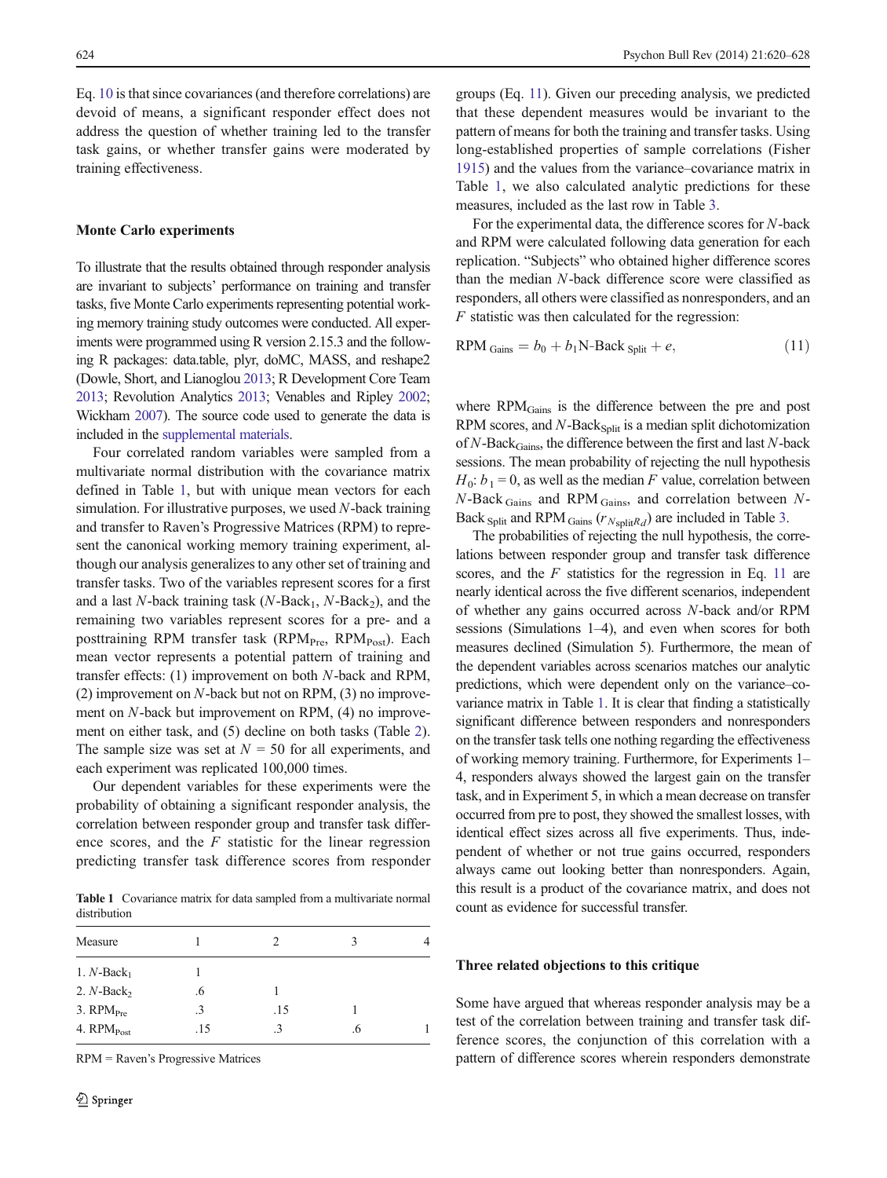Eq. [10](#page-3-0) is that since covariances (and therefore correlations) are devoid of means, a significant responder effect does not address the question of whether training led to the transfer task gains, or whether transfer gains were moderated by training effectiveness.

#### Monte Carlo experiments

To illustrate that the results obtained through responder analysis are invariant to subjects' performance on training and transfer tasks, five Monte Carlo experiments representing potential working memory training study outcomes were conducted. All experiments were programmed using R version 2.15.3 and the following R packages: data.table, plyr, doMC, MASS, and reshape2 (Dowle, Short, and Lianoglou [2013](#page-7-0); R Development Core Team [2013;](#page-8-0) Revolution Analytics [2013;](#page-8-0) Venables and Ripley [2002](#page-8-0); Wickham [2007](#page-8-0)). The source code used to generate the data is included in the supplemental materials.

Four correlated random variables were sampled from a multivariate normal distribution with the covariance matrix defined in Table 1, but with unique mean vectors for each simulation. For illustrative purposes, we used  $N$ -back training and transfer to Raven's Progressive Matrices (RPM) to represent the canonical working memory training experiment, although our analysis generalizes to any other set of training and transfer tasks. Two of the variables represent scores for a first and a last N-back training task ( $N$ -Back<sub>1</sub>,  $N$ -Back<sub>2</sub>), and the remaining two variables represent scores for a pre- and a posttraining RPM transfer task ( $RPM_{Pre}$ ,  $RPM_{Post}$ ). Each mean vector represents a potential pattern of training and transfer effects: (1) improvement on both N-back and RPM, (2) improvement on  $N$ -back but not on RPM, (3) no improvement on N-back but improvement on RPM, (4) no improvement on either task, and (5) decline on both tasks (Table [2\)](#page-5-0). The sample size was set at  $N = 50$  for all experiments, and each experiment was replicated 100,000 times.

Our dependent variables for these experiments were the probability of obtaining a significant responder analysis, the correlation between responder group and transfer task difference scores, and the  $F$  statistic for the linear regression predicting transfer task difference scores from responder

Table 1 Covariance matrix for data sampled from a multivariate normal distribution

| Measure                   |           | 2         |    |  |
|---------------------------|-----------|-----------|----|--|
| 1. $N$ -Back <sub>1</sub> |           |           |    |  |
| 2. $N$ -Back <sub>2</sub> | .6        |           |    |  |
| $3.$ RPM <sub>Pre</sub>   | $\cdot$ 3 | .15       |    |  |
| 4. RPM <sub>Post</sub>    | .15       | $\cdot$ 3 | .6 |  |

RPM = Raven's Progressive Matrices

groups (Eq. 11). Given our preceding analysis, we predicted that these dependent measures would be invariant to the pattern of means for both the training and transfer tasks. Using long-established properties of sample correlations (Fisher [1915\)](#page-7-0) and the values from the variance–covariance matrix in Table 1, we also calculated analytic predictions for these measures, included as the last row in Table [3](#page-5-0).

For the experimental data, the difference scores for N-back and RPM were calculated following data generation for each replication. "Subjects" who obtained higher difference scores than the median N-back difference score were classified as responders, all others were classified as nonresponders, and an  $F$  statistic was then calculated for the regression:

$$
RPM_{\text{Gains}} = b_0 + b_1 \text{N-Back} \, \text{split} + e,\tag{11}
$$

where  $\text{RPM}_{\text{Gains}}$  is the difference between the pre and post RPM scores, and  $N$ -Back $_{\text{Split}}$  is a median split dichotomization of  $N$ -Back<sub>Gains</sub>, the difference between the first and last  $N$ -back sessions. The mean probability of rejecting the null hypothesis  $H_0$ :  $b_1 = 0$ , as well as the median F value, correlation between  $N$ -Back Gains and RPM Gains, and correlation between  $N$ -Back  $_{\text{Split}}$  and RPM  $_{\text{Gains}}$  ( $r_{N_{\text{split}}R_d$ ) are included in Table [3.](#page-5-0)

The probabilities of rejecting the null hypothesis, the correlations between responder group and transfer task difference scores, and the  $F$  statistics for the regression in Eq. 11 are nearly identical across the five different scenarios, independent of whether any gains occurred across N-back and/or RPM sessions (Simulations 1–4), and even when scores for both measures declined (Simulation 5). Furthermore, the mean of the dependent variables across scenarios matches our analytic predictions, which were dependent only on the variance–covariance matrix in Table 1. It is clear that finding a statistically significant difference between responders and nonresponders on the transfer task tells one nothing regarding the effectiveness of working memory training. Furthermore, for Experiments 1– 4, responders always showed the largest gain on the transfer task, and in Experiment 5, in which a mean decrease on transfer occurred from pre to post, they showed the smallest losses, with identical effect sizes across all five experiments. Thus, independent of whether or not true gains occurred, responders always came out looking better than nonresponders. Again, this result is a product of the covariance matrix, and does not count as evidence for successful transfer.

## Three related objections to this critique

Some have argued that whereas responder analysis may be a test of the correlation between training and transfer task difference scores, the conjunction of this correlation with a pattern of difference scores wherein responders demonstrate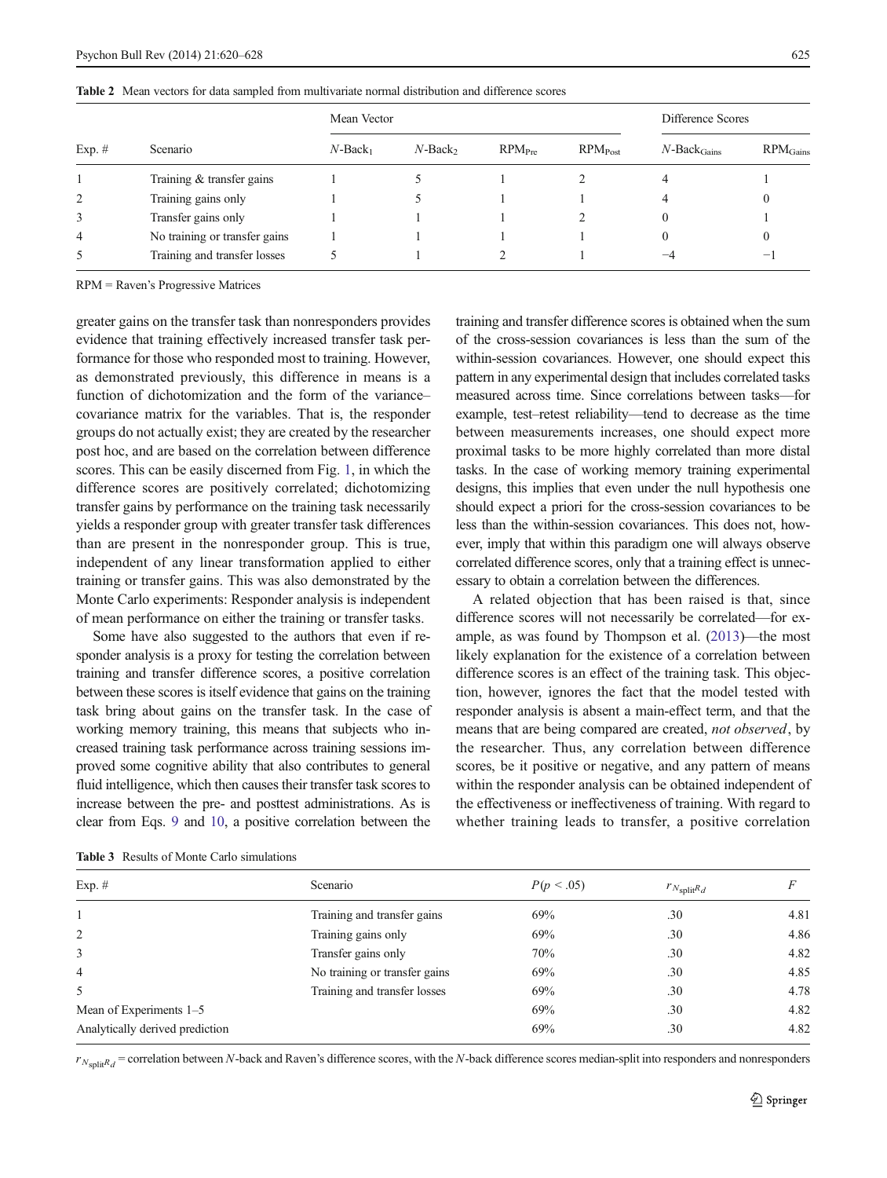|                |                               | Mean Vector            |                        |             |              | Difference Scores           |                      |
|----------------|-------------------------------|------------------------|------------------------|-------------|--------------|-----------------------------|----------------------|
| $Exp. \#$      | Scenario                      | $N$ -Back <sub>1</sub> | $N$ -Back <sub>2</sub> | $RPM_{Pre}$ | $RPM_{Post}$ | $N$ -Back $_{\text{Gains}}$ | $RPM_{\text{Gains}}$ |
|                | Training $&$ transfer gains   |                        |                        |             |              |                             |                      |
| 2              | Training gains only           |                        |                        |             |              |                             |                      |
| 3              | Transfer gains only           |                        |                        |             |              |                             |                      |
| $\overline{4}$ | No training or transfer gains |                        |                        |             |              |                             | 0                    |
|                | Training and transfer losses  |                        |                        |             |              | -4                          |                      |

<span id="page-5-0"></span>Table 2 Mean vectors for data sampled from multivariate normal distribution and difference scores

RPM = Raven's Progressive Matrices

greater gains on the transfer task than nonresponders provides evidence that training effectively increased transfer task performance for those who responded most to training. However, as demonstrated previously, this difference in means is a function of dichotomization and the form of the variance– covariance matrix for the variables. That is, the responder groups do not actually exist; they are created by the researcher post hoc, and are based on the correlation between difference scores. This can be easily discerned from Fig. [1,](#page-2-0) in which the difference scores are positively correlated; dichotomizing transfer gains by performance on the training task necessarily yields a responder group with greater transfer task differences than are present in the nonresponder group. This is true, independent of any linear transformation applied to either training or transfer gains. This was also demonstrated by the Monte Carlo experiments: Responder analysis is independent of mean performance on either the training or transfer tasks.

Some have also suggested to the authors that even if responder analysis is a proxy for testing the correlation between training and transfer difference scores, a positive correlation between these scores is itself evidence that gains on the training task bring about gains on the transfer task. In the case of working memory training, this means that subjects who increased training task performance across training sessions improved some cognitive ability that also contributes to general fluid intelligence, which then causes their transfer task scores to increase between the pre- and posttest administrations. As is clear from Eqs. [9](#page-3-0) and [10,](#page-3-0) a positive correlation between the

training and transfer difference scores is obtained when the sum of the cross-session covariances is less than the sum of the within-session covariances. However, one should expect this pattern in any experimental design that includes correlated tasks measured across time. Since correlations between tasks—for example, test–retest reliability—tend to decrease as the time between measurements increases, one should expect more proximal tasks to be more highly correlated than more distal tasks. In the case of working memory training experimental designs, this implies that even under the null hypothesis one should expect a priori for the cross-session covariances to be less than the within-session covariances. This does not, however, imply that within this paradigm one will always observe correlated difference scores, only that a training effect is unnecessary to obtain a correlation between the differences. A related objection that has been raised is that, since

difference scores will not necessarily be correlated—for example, as was found by Thompson et al. [\(2013\)](#page-8-0)—the most likely explanation for the existence of a correlation between difference scores is an effect of the training task. This objection, however, ignores the fact that the model tested with responder analysis is absent a main-effect term, and that the means that are being compared are created, not observed, by the researcher. Thus, any correlation between difference scores, be it positive or negative, and any pattern of means within the responder analysis can be obtained independent of the effectiveness or ineffectiveness of training. With regard to whether training leads to transfer, a positive correlation

|  |  | <b>Table 3</b> Results of Monte Carlo simulations |  |
|--|--|---------------------------------------------------|--|
|  |  |                                                   |  |

| $r_{N_{\text{split}}R_d}$ |      |
|---------------------------|------|
| .30                       | 4.81 |
| .30                       | 4.86 |
| .30                       | 4.82 |
| .30                       | 4.85 |
| .30                       | 4.78 |
| .30                       | 4.82 |
| .30                       | 4.82 |
|                           |      |

 $r_{N_{\text{split}}R_d}$  = correlation between N-back and Raven's difference scores, with the N-back difference scores median-split into responders and nonresponders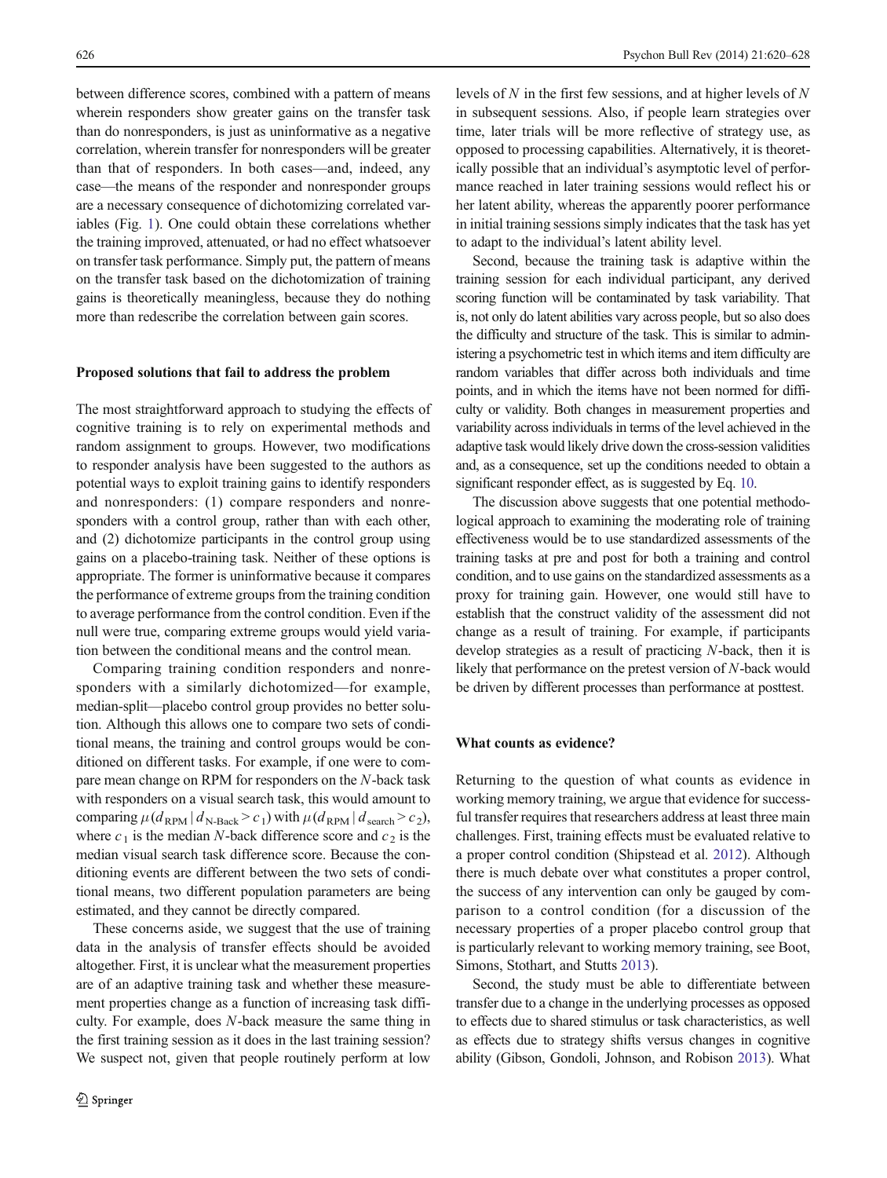between difference scores, combined with a pattern of means wherein responders show greater gains on the transfer task than do nonresponders, is just as uninformative as a negative correlation, wherein transfer for nonresponders will be greater than that of responders. In both cases—and, indeed, any case—the means of the responder and nonresponder groups are a necessary consequence of dichotomizing correlated variables (Fig. [1\)](#page-2-0). One could obtain these correlations whether the training improved, attenuated, or had no effect whatsoever on transfer task performance. Simply put, the pattern of means on the transfer task based on the dichotomization of training gains is theoretically meaningless, because they do nothing more than redescribe the correlation between gain scores.

# Proposed solutions that fail to address the problem

The most straightforward approach to studying the effects of cognitive training is to rely on experimental methods and random assignment to groups. However, two modifications to responder analysis have been suggested to the authors as potential ways to exploit training gains to identify responders and nonresponders: (1) compare responders and nonresponders with a control group, rather than with each other, and (2) dichotomize participants in the control group using gains on a placebo-training task. Neither of these options is appropriate. The former is uninformative because it compares the performance of extreme groups from the training condition to average performance from the control condition. Even if the null were true, comparing extreme groups would yield variation between the conditional means and the control mean.

Comparing training condition responders and nonresponders with a similarly dichotomized—for example, median-split—placebo control group provides no better solution. Although this allows one to compare two sets of conditional means, the training and control groups would be conditioned on different tasks. For example, if one were to compare mean change on RPM for responders on the N-back task with responders on a visual search task, this would amount to comparing  $\mu(d_{\text{RPM}} \mid d_{\text{N-Back}} > c_1)$  with  $\mu(d_{\text{RPM}} \mid d_{\text{search}} > c_2)$ , where  $c_1$  is the median N-back difference score and  $c_2$  is the median visual search task difference score. Because the conditioning events are different between the two sets of conditional means, two different population parameters are being estimated, and they cannot be directly compared.

These concerns aside, we suggest that the use of training data in the analysis of transfer effects should be avoided altogether. First, it is unclear what the measurement properties are of an adaptive training task and whether these measurement properties change as a function of increasing task difficulty. For example, does N-back measure the same thing in the first training session as it does in the last training session? We suspect not, given that people routinely perform at low levels of  $N$  in the first few sessions, and at higher levels of  $N$ in subsequent sessions. Also, if people learn strategies over time, later trials will be more reflective of strategy use, as opposed to processing capabilities. Alternatively, it is theoretically possible that an individual's asymptotic level of performance reached in later training sessions would reflect his or her latent ability, whereas the apparently poorer performance in initial training sessions simply indicates that the task has yet to adapt to the individual's latent ability level.

Second, because the training task is adaptive within the training session for each individual participant, any derived scoring function will be contaminated by task variability. That is, not only do latent abilities vary across people, but so also does the difficulty and structure of the task. This is similar to administering a psychometric test in which items and item difficulty are random variables that differ across both individuals and time points, and in which the items have not been normed for difficulty or validity. Both changes in measurement properties and variability across individuals in terms of the level achieved in the adaptive task would likely drive down the cross-session validities and, as a consequence, set up the conditions needed to obtain a significant responder effect, as is suggested by Eq. [10](#page-3-0).

The discussion above suggests that one potential methodological approach to examining the moderating role of training effectiveness would be to use standardized assessments of the training tasks at pre and post for both a training and control condition, and to use gains on the standardized assessments as a proxy for training gain. However, one would still have to establish that the construct validity of the assessment did not change as a result of training. For example, if participants develop strategies as a result of practicing N-back, then it is likely that performance on the pretest version of N-back would be driven by different processes than performance at posttest.

# What counts as evidence?

Returning to the question of what counts as evidence in working memory training, we argue that evidence for successful transfer requires that researchers address at least three main challenges. First, training effects must be evaluated relative to a proper control condition (Shipstead et al. [2012\)](#page-8-0). Although there is much debate over what constitutes a proper control, the success of any intervention can only be gauged by comparison to a control condition (for a discussion of the necessary properties of a proper placebo control group that is particularly relevant to working memory training, see Boot, Simons, Stothart, and Stutts [2013\)](#page-7-0).

Second, the study must be able to differentiate between transfer due to a change in the underlying processes as opposed to effects due to shared stimulus or task characteristics, as well as effects due to strategy shifts versus changes in cognitive ability (Gibson, Gondoli, Johnson, and Robison [2013\)](#page-7-0). What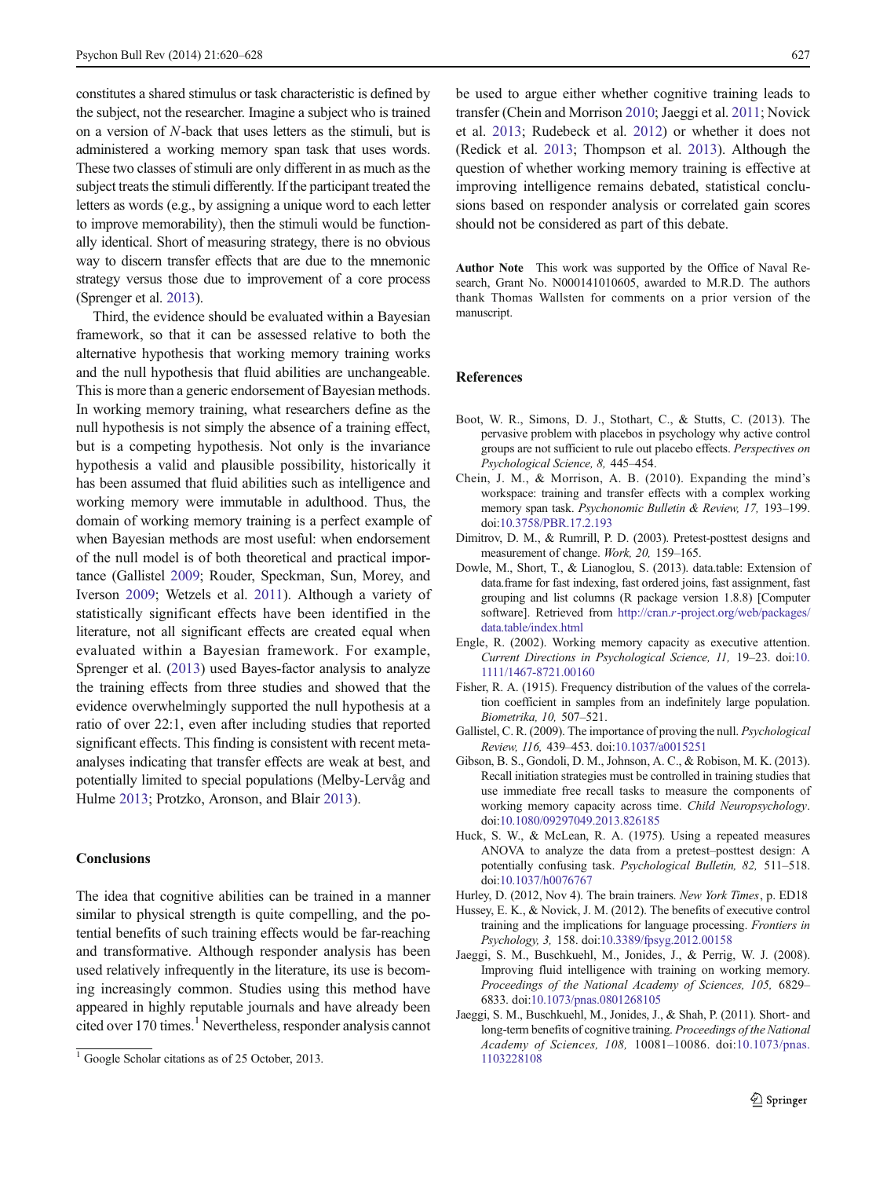<span id="page-7-0"></span>constitutes a shared stimulus or task characteristic is defined by the subject, not the researcher. Imagine a subject who is trained on a version of N-back that uses letters as the stimuli, but is administered a working memory span task that uses words. These two classes of stimuli are only different in as much as the subject treats the stimuli differently. If the participant treated the letters as words (e.g., by assigning a unique word to each letter to improve memorability), then the stimuli would be functionally identical. Short of measuring strategy, there is no obvious way to discern transfer effects that are due to the mnemonic strategy versus those due to improvement of a core process (Sprenger et al. [2013](#page-8-0)).

Third, the evidence should be evaluated within a Bayesian framework, so that it can be assessed relative to both the alternative hypothesis that working memory training works and the null hypothesis that fluid abilities are unchangeable. This is more than a generic endorsement of Bayesian methods. In working memory training, what researchers define as the null hypothesis is not simply the absence of a training effect, but is a competing hypothesis. Not only is the invariance hypothesis a valid and plausible possibility, historically it has been assumed that fluid abilities such as intelligence and working memory were immutable in adulthood. Thus, the domain of working memory training is a perfect example of when Bayesian methods are most useful: when endorsement of the null model is of both theoretical and practical importance (Gallistel 2009; Rouder, Speckman, Sun, Morey, and Iverson [2009](#page-8-0); Wetzels et al. [2011](#page-8-0)). Although a variety of statistically significant effects have been identified in the literature, not all significant effects are created equal when evaluated within a Bayesian framework. For example, Sprenger et al. [\(2013\)](#page-8-0) used Bayes-factor analysis to analyze the training effects from three studies and showed that the evidence overwhelmingly supported the null hypothesis at a ratio of over 22:1, even after including studies that reported significant effects. This finding is consistent with recent metaanalyses indicating that transfer effects are weak at best, and potentially limited to special populations (Melby-Lervåg and Hulme [2013;](#page-8-0) Protzko, Aronson, and Blair [2013\)](#page-8-0).

# **Conclusions**

The idea that cognitive abilities can be trained in a manner similar to physical strength is quite compelling, and the potential benefits of such training effects would be far-reaching and transformative. Although responder analysis has been used relatively infrequently in the literature, its use is becoming increasingly common. Studies using this method have appeared in highly reputable journals and have already been cited over 170 times.<sup>1</sup> Nevertheless, responder analysis cannot

be used to argue either whether cognitive training leads to transfer (Chein and Morrison 2010; Jaeggi et al. 2011; Novick et al. [2013](#page-8-0); Rudebeck et al. [2012\)](#page-8-0) or whether it does not (Redick et al. [2013;](#page-8-0) Thompson et al. [2013\)](#page-8-0). Although the question of whether working memory training is effective at improving intelligence remains debated, statistical conclusions based on responder analysis or correlated gain scores should not be considered as part of this debate.

Author Note This work was supported by the Office of Naval Research, Grant No. N000141010605, awarded to M.R.D. The authors thank Thomas Wallsten for comments on a prior version of the manuscript.

#### References

- Boot, W. R., Simons, D. J., Stothart, C., & Stutts, C. (2013). The pervasive problem with placebos in psychology why active control groups are not sufficient to rule out placebo effects. Perspectives on Psychological Science, 8, 445–454.
- Chein, J. M., & Morrison, A. B. (2010). Expanding the mind's workspace: training and transfer effects with a complex working memory span task. Psychonomic Bulletin & Review, 17, 193–199. doi:[10.3758/PBR.17.2.193](http://dx.doi.org/10.3758/PBR.17.2.193)
- Dimitrov, D. M., & Rumrill, P. D. (2003). Pretest-posttest designs and measurement of change. Work, 20, 159–165.
- Dowle, M., Short, T., & Lianoglou, S. (2013). data.table: Extension of data.frame for fast indexing, fast ordered joins, fast assignment, fast grouping and list columns (R package version 1.8.8) [Computer software]. Retrieved from [http://cran.](http://cran.r-project.org/web/packages/data.table/index.html)r[-project.org/web/packages/](http://cran.r-project.org/web/packages/data.table/index.html) [data.table/index.html](http://cran.r-project.org/web/packages/data.table/index.html)
- Engle, R. (2002). Working memory capacity as executive attention. Current Directions in Psychological Science, 11, 19–23. doi:[10.](http://dx.doi.org/10.1111/1467-8721.00160) [1111/1467-8721.00160](http://dx.doi.org/10.1111/1467-8721.00160)
- Fisher, R. A. (1915). Frequency distribution of the values of the correlation coefficient in samples from an indefinitely large population. Biometrika, 10, 507–521.
- Gallistel, C. R. (2009). The importance of proving the null. Psychological Review, 116, 439–453. doi[:10.1037/a0015251](http://dx.doi.org/10.1037/a0015251)
- Gibson, B. S., Gondoli, D. M., Johnson, A. C., & Robison, M. K. (2013). Recall initiation strategies must be controlled in training studies that use immediate free recall tasks to measure the components of working memory capacity across time. Child Neuropsychology. doi:[10.1080/09297049.2013.826185](http://dx.doi.org/10.1080/09297049.2013.826185)
- Huck, S. W., & McLean, R. A. (1975). Using a repeated measures ANOVA to analyze the data from a pretest–posttest design: A potentially confusing task. Psychological Bulletin, 82, 511–518. doi:[10.1037/h0076767](http://dx.doi.org/10.1037/h0076767)
- Hurley, D. (2012, Nov 4). The brain trainers. New York Times, p. ED18
- Hussey, E. K., & Novick, J. M. (2012). The benefits of executive control training and the implications for language processing. Frontiers in Psychology, 3, 158. doi[:10.3389/fpsyg.2012.00158](http://dx.doi.org/10.3389/fpsyg.2012.00158)
- Jaeggi, S. M., Buschkuehl, M., Jonides, J., & Perrig, W. J. (2008). Improving fluid intelligence with training on working memory. Proceedings of the National Academy of Sciences, 105, 6829– 6833. doi:[10.1073/pnas.0801268105](http://dx.doi.org/10.1073/pnas.0801268105)
- Jaeggi, S. M., Buschkuehl, M., Jonides, J., & Shah, P. (2011). Short- and long-term benefits of cognitive training. Proceedings of the National Academy of Sciences, 108, 10081–10086. doi:[10.1073/pnas.](http://dx.doi.org/10.1073/pnas.1103228108)

<sup>&</sup>lt;sup>1</sup> Google Scholar citations as of 25 October, 2013. [1103228108](http://dx.doi.org/10.1073/pnas.1103228108)